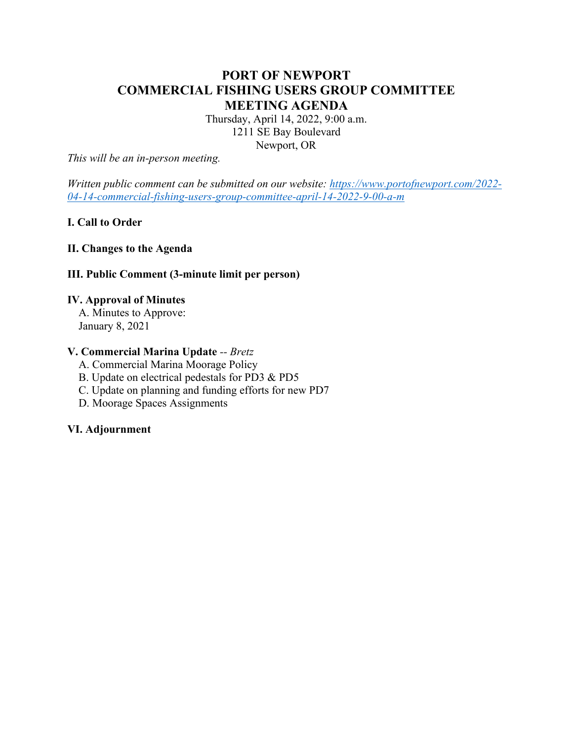# **PORT OF NEWPORT COMMERCIAL FISHING USERS GROUP COMMITTEE MEETING AGENDA**

Thursday, April 14, 2022, 9:00 a.m. 1211 SE Bay Boulevard Newport, OR

*This will be an in-person meeting.*

*Written public comment can be submitted on our website: [https://www.portofnewport.com/2022-](https://www.portofnewport.com/2022-04-14-commercial-fishing-users-group-committee-april-14-2022-9-00-a-m) [04-14-commercial-fishing-users-group-committee-april-14-2022-9-00-a-m](https://www.portofnewport.com/2022-04-14-commercial-fishing-users-group-committee-april-14-2022-9-00-a-m)*

# **I. Call to Order**

## **II. Changes to the Agenda**

#### **III. Public Comment (3-minute limit per person)**

#### **IV. Approval of Minutes**

 A. Minutes to Approve: January 8, 2021

# **V. Commercial Marina Update** *-- Bretz*

A. Commercial Marina Moorage Policy

B. Update on electrical pedestals for PD3 & PD5

C. Update on planning and funding efforts for new PD7

D. Moorage Spaces Assignments

#### **VI. Adjournment**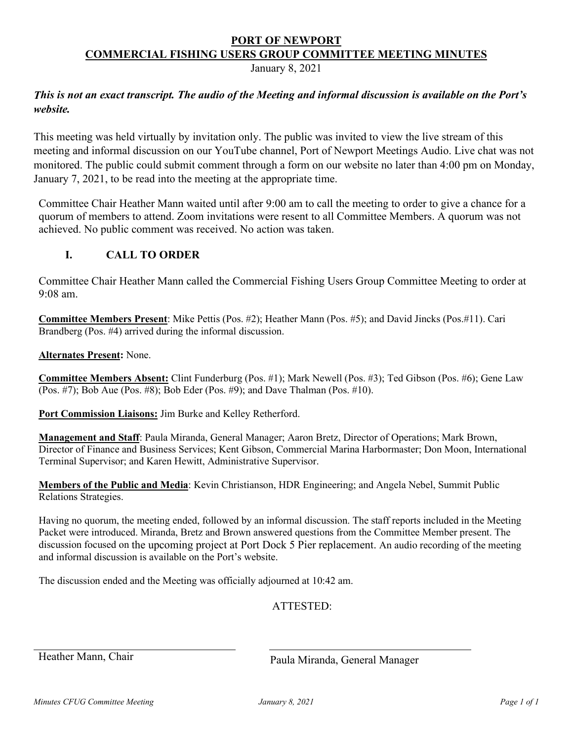# **PORT OF NEWPORT COMMERCIAL FISHING USERS GROUP COMMITTEE MEETING MINUTES**

January 8, 2021

# *This is not an exact transcript. The audio of the Meeting and informal discussion is available on the Port's website.*

This meeting was held virtually by invitation only. The public was invited to view the live stream of this meeting and informal discussion on our YouTube channel, Port of Newport Meetings Audio. Live chat was not monitored. The public could submit comment through a form on our website no later than 4:00 pm on Monday, January 7, 2021, to be read into the meeting at the appropriate time.

Committee Chair Heather Mann waited until after 9:00 am to call the meeting to order to give a chance for a quorum of members to attend. Zoom invitations were resent to all Committee Members. A quorum was not achieved. No public comment was received. No action was taken.

# **I. CALL TO ORDER**

Committee Chair Heather Mann called the Commercial Fishing Users Group Committee Meeting to order at 9:08 am.

**Committee Members Present**: Mike Pettis (Pos. #2); Heather Mann (Pos. #5); and David Jincks (Pos.#11). Cari Brandberg (Pos. #4) arrived during the informal discussion.

**Alternates Present:** None.

**Committee Members Absent:** Clint Funderburg (Pos. #1); Mark Newell (Pos. #3); Ted Gibson (Pos. #6); Gene Law (Pos. #7); Bob Aue (Pos. #8); Bob Eder (Pos. #9); and Dave Thalman (Pos. #10).

**Port Commission Liaisons:** Jim Burke and Kelley Retherford.

**Management and Staff**: Paula Miranda, General Manager; Aaron Bretz, Director of Operations; Mark Brown, Director of Finance and Business Services; Kent Gibson, Commercial Marina Harbormaster; Don Moon, International Terminal Supervisor; and Karen Hewitt, Administrative Supervisor.

**Members of the Public and Media**: Kevin Christianson, HDR Engineering; and Angela Nebel, Summit Public Relations Strategies.

Having no quorum, the meeting ended, followed by an informal discussion. The staff reports included in the Meeting Packet were introduced. Miranda, Bretz and Brown answered questions from the Committee Member present. The discussion focused on the upcoming project at Port Dock 5 Pier replacement. An audio recording of the meeting and informal discussion is available on the Port's website.

The discussion ended and the Meeting was officially adjourned at 10:42 am.

ATTESTED:

Heather Mann, Chair **Paula Miranda**, General Manager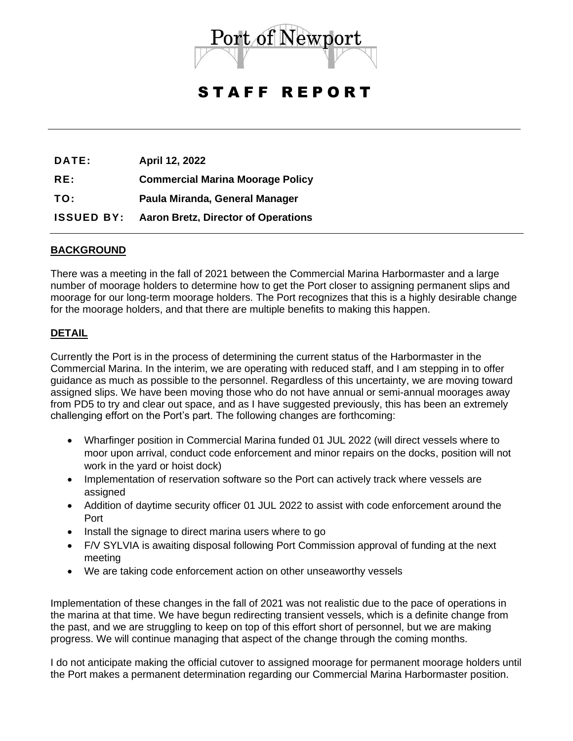

# STAFF REPORT

**DATE: April 12, 2022**

**RE: Commercial Marina Moorage Policy**

**TO: Paula Miranda, General Manager**

**ISSUED BY: Aaron Bretz, Director of Operations**

# **BACKGROUND**

There was a meeting in the fall of 2021 between the Commercial Marina Harbormaster and a large number of moorage holders to determine how to get the Port closer to assigning permanent slips and moorage for our long-term moorage holders. The Port recognizes that this is a highly desirable change for the moorage holders, and that there are multiple benefits to making this happen.

#### **DETAIL**

Currently the Port is in the process of determining the current status of the Harbormaster in the Commercial Marina. In the interim, we are operating with reduced staff, and I am stepping in to offer guidance as much as possible to the personnel. Regardless of this uncertainty, we are moving toward assigned slips. We have been moving those who do not have annual or semi-annual moorages away from PD5 to try and clear out space, and as I have suggested previously, this has been an extremely challenging effort on the Port's part. The following changes are forthcoming:

- Wharfinger position in Commercial Marina funded 01 JUL 2022 (will direct vessels where to moor upon arrival, conduct code enforcement and minor repairs on the docks, position will not work in the yard or hoist dock)
- Implementation of reservation software so the Port can actively track where vessels are assigned
- Addition of daytime security officer 01 JUL 2022 to assist with code enforcement around the Port
- Install the signage to direct marina users where to go
- F/V SYLVIA is awaiting disposal following Port Commission approval of funding at the next meeting
- We are taking code enforcement action on other unseaworthy vessels

Implementation of these changes in the fall of 2021 was not realistic due to the pace of operations in the marina at that time. We have begun redirecting transient vessels, which is a definite change from the past, and we are struggling to keep on top of this effort short of personnel, but we are making progress. We will continue managing that aspect of the change through the coming months.

I do not anticipate making the official cutover to assigned moorage for permanent moorage holders until the Port makes a permanent determination regarding our Commercial Marina Harbormaster position.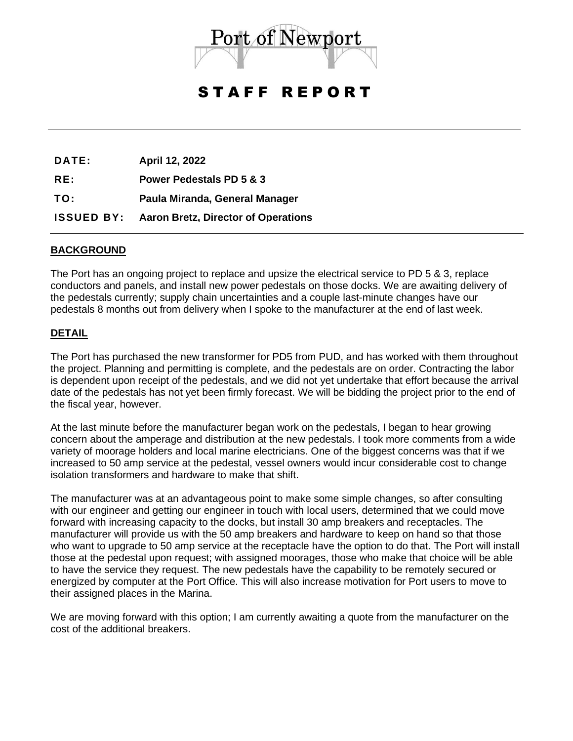

# STAFF REPORT

**DATE: April 12, 2022 RE: Power Pedestals PD 5 & 3 TO: Paula Miranda, General Manager ISSUED BY: Aaron Bretz, Director of Operations**

#### **BACKGROUND**

The Port has an ongoing project to replace and upsize the electrical service to PD 5 & 3, replace conductors and panels, and install new power pedestals on those docks. We are awaiting delivery of the pedestals currently; supply chain uncertainties and a couple last-minute changes have our pedestals 8 months out from delivery when I spoke to the manufacturer at the end of last week.

#### **DETAIL**

The Port has purchased the new transformer for PD5 from PUD, and has worked with them throughout the project. Planning and permitting is complete, and the pedestals are on order. Contracting the labor is dependent upon receipt of the pedestals, and we did not yet undertake that effort because the arrival date of the pedestals has not yet been firmly forecast. We will be bidding the project prior to the end of the fiscal year, however.

At the last minute before the manufacturer began work on the pedestals, I began to hear growing concern about the amperage and distribution at the new pedestals. I took more comments from a wide variety of moorage holders and local marine electricians. One of the biggest concerns was that if we increased to 50 amp service at the pedestal, vessel owners would incur considerable cost to change isolation transformers and hardware to make that shift.

The manufacturer was at an advantageous point to make some simple changes, so after consulting with our engineer and getting our engineer in touch with local users, determined that we could move forward with increasing capacity to the docks, but install 30 amp breakers and receptacles. The manufacturer will provide us with the 50 amp breakers and hardware to keep on hand so that those who want to upgrade to 50 amp service at the receptacle have the option to do that. The Port will install those at the pedestal upon request; with assigned moorages, those who make that choice will be able to have the service they request. The new pedestals have the capability to be remotely secured or energized by computer at the Port Office. This will also increase motivation for Port users to move to their assigned places in the Marina.

We are moving forward with this option; I am currently awaiting a quote from the manufacturer on the cost of the additional breakers.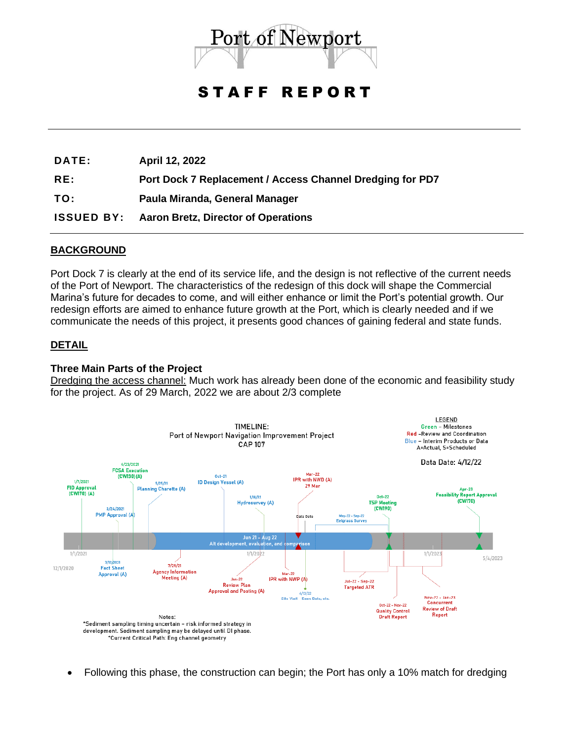

# STAFF REPORT

**DATE: April 12, 2022**

**RE: Port Dock 7 Replacement / Access Channel Dredging for PD7**

**TO: Paula Miranda, General Manager**

**ISSUED BY: Aaron Bretz, Director of Operations**

# **BACKGROUND**

Port Dock 7 is clearly at the end of its service life, and the design is not reflective of the current needs of the Port of Newport. The characteristics of the redesign of this dock will shape the Commercial Marina's future for decades to come, and will either enhance or limit the Port's potential growth. Our redesign efforts are aimed to enhance future growth at the Port, which is clearly needed and if we communicate the needs of this project, it presents good chances of gaining federal and state funds.

#### **DETAIL**

#### **Three Main Parts of the Project**

Dredging the access channel: Much work has already been done of the economic and feasibility study for the project. As of 29 March, 2022 we are about 2/3 complete



• Following this phase, the construction can begin; the Port has only a 10% match for dredging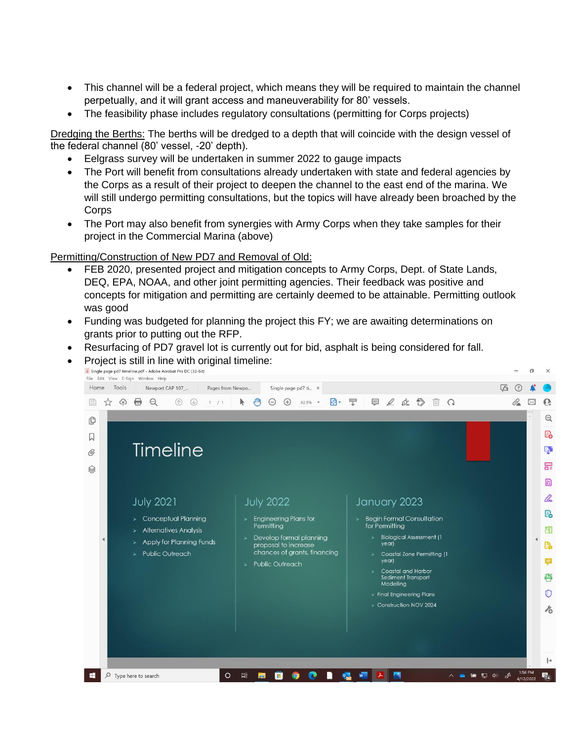- This channel will be a federal project, which means they will be required to maintain the channel perpetually, and it will grant access and maneuverability for 80' vessels.
- The feasibility phase includes regulatory consultations (permitting for Corps projects)

Dredging the Berths: The berths will be dredged to a depth that will coincide with the design vessel of the federal channel (80' vessel, -20' depth).

- Eelgrass survey will be undertaken in summer 2022 to gauge impacts
- The Port will benefit from consultations already undertaken with state and federal agencies by the Corps as a result of their project to deepen the channel to the east end of the marina. We will still undergo permitting consultations, but the topics will have already been broached by the **Corps**
- The Port may also benefit from synergies with Army Corps when they take samples for their project in the Commercial Marina (above)

#### Permitting/Construction of New PD7 and Removal of Old:

- FEB 2020, presented project and mitigation concepts to Army Corps, Dept. of State Lands, DEQ, EPA, NOAA, and other joint permitting agencies. Their feedback was positive and concepts for mitigation and permitting are certainly deemed to be attainable. Permitting outlook was good
- Funding was budgeted for planning the project this FY; we are awaiting determinations on grants prior to putting out the RFP.
- Resurfacing of PD7 gravel lot is currently out for bid, asphalt is being considered for fall.

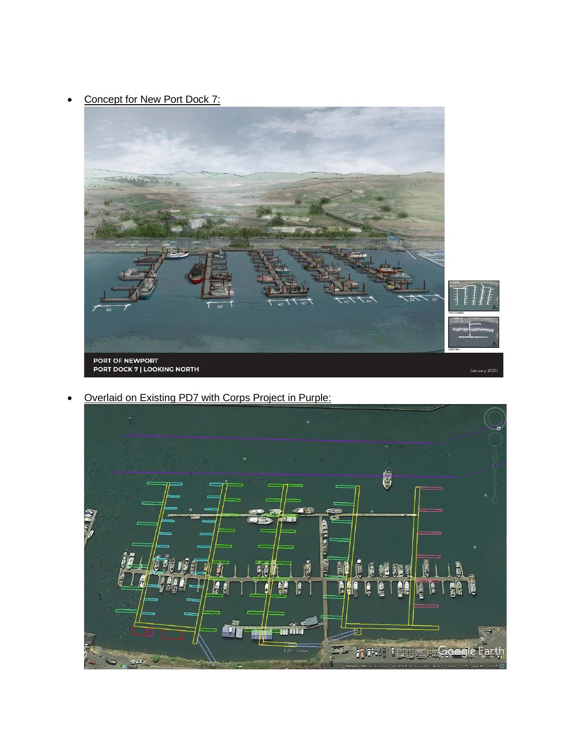• Concept for New Port Dock 7:



• Overlaid on Existing PD7 with Corps Project in Purple: